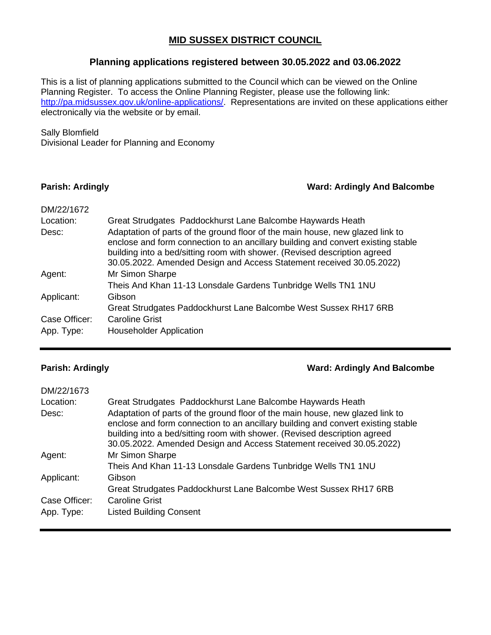### **MID SUSSEX DISTRICT COUNCIL**

### **Planning applications registered between 30.05.2022 and 03.06.2022**

This is a list of planning applications submitted to the Council which can be viewed on the Online Planning Register. To access the Online Planning Register, please use the following link: [http://pa.midsussex.gov.uk/online-applications/.](http://pa.midsussex.gov.uk/online-applications/) Representations are invited on these applications either electronically via the website or by email.

### Sally Blomfield

Divisional Leader for Planning and Economy

### **Parish: Ardingly Ward: Ardingly And Balcombe**

| DM/22/1672    |                                                                                                                                                                                                                                                                                                                        |
|---------------|------------------------------------------------------------------------------------------------------------------------------------------------------------------------------------------------------------------------------------------------------------------------------------------------------------------------|
| Location:     | Great Strudgates Paddockhurst Lane Balcombe Haywards Heath                                                                                                                                                                                                                                                             |
| Desc:         | Adaptation of parts of the ground floor of the main house, new glazed link to<br>enclose and form connection to an ancillary building and convert existing stable<br>building into a bed/sitting room with shower. (Revised description agreed<br>30.05.2022. Amended Design and Access Statement received 30.05.2022) |
| Agent:        | Mr Simon Sharpe                                                                                                                                                                                                                                                                                                        |
|               | Theis And Khan 11-13 Lonsdale Gardens Tunbridge Wells TN1 1NU                                                                                                                                                                                                                                                          |
| Applicant:    | Gibson                                                                                                                                                                                                                                                                                                                 |
|               | Great Strudgates Paddockhurst Lane Balcombe West Sussex RH17 6RB                                                                                                                                                                                                                                                       |
| Case Officer: | <b>Caroline Grist</b>                                                                                                                                                                                                                                                                                                  |
| App. Type:    | <b>Householder Application</b>                                                                                                                                                                                                                                                                                         |

### **Parish: Ardingly Ward: Ardingly And Balcombe**

| DM/22/1673    |                                                                                                                                                                                                                                                                                                                        |
|---------------|------------------------------------------------------------------------------------------------------------------------------------------------------------------------------------------------------------------------------------------------------------------------------------------------------------------------|
| Location:     | Great Strudgates Paddockhurst Lane Balcombe Haywards Heath                                                                                                                                                                                                                                                             |
| Desc:         | Adaptation of parts of the ground floor of the main house, new glazed link to<br>enclose and form connection to an ancillary building and convert existing stable<br>building into a bed/sitting room with shower. (Revised description agreed<br>30.05.2022. Amended Design and Access Statement received 30.05.2022) |
| Agent:        | Mr Simon Sharpe                                                                                                                                                                                                                                                                                                        |
|               | Theis And Khan 11-13 Lonsdale Gardens Tunbridge Wells TN1 1NU                                                                                                                                                                                                                                                          |
| Applicant:    | Gibson                                                                                                                                                                                                                                                                                                                 |
|               | Great Strudgates Paddockhurst Lane Balcombe West Sussex RH17 6RB                                                                                                                                                                                                                                                       |
| Case Officer: | <b>Caroline Grist</b>                                                                                                                                                                                                                                                                                                  |
| App. Type:    | <b>Listed Building Consent</b>                                                                                                                                                                                                                                                                                         |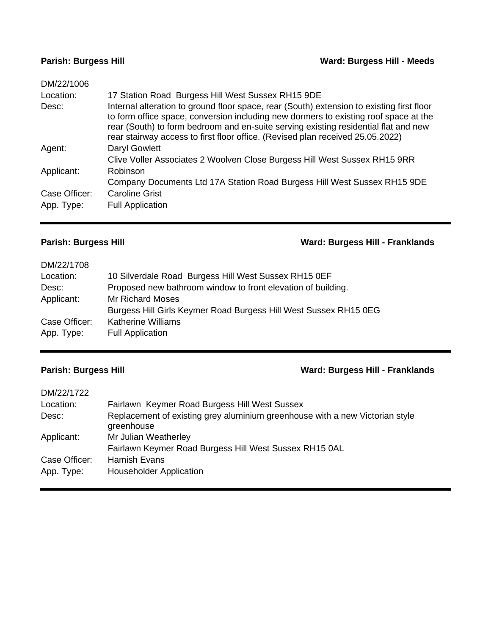### **Parish: Burgess Hill Ward: Burgess Hill - Meeds**

| DM/22/1006    |                                                                                                                                                                                                                                                                                                                                                            |
|---------------|------------------------------------------------------------------------------------------------------------------------------------------------------------------------------------------------------------------------------------------------------------------------------------------------------------------------------------------------------------|
| Location:     | 17 Station Road Burgess Hill West Sussex RH15 9DE                                                                                                                                                                                                                                                                                                          |
| Desc:         | Internal alteration to ground floor space, rear (South) extension to existing first floor<br>to form office space, conversion including new dormers to existing roof space at the<br>rear (South) to form bedroom and en-suite serving existing residential flat and new<br>rear stairway access to first floor office. (Revised plan received 25.05.2022) |
| Agent:        | Daryl Gowlett                                                                                                                                                                                                                                                                                                                                              |
|               | Clive Voller Associates 2 Woolven Close Burgess Hill West Sussex RH15 9RR                                                                                                                                                                                                                                                                                  |
| Applicant:    | Robinson                                                                                                                                                                                                                                                                                                                                                   |
|               | Company Documents Ltd 17A Station Road Burgess Hill West Sussex RH15 9DE                                                                                                                                                                                                                                                                                   |
| Case Officer: | <b>Caroline Grist</b>                                                                                                                                                                                                                                                                                                                                      |
| App. Type:    | <b>Full Application</b>                                                                                                                                                                                                                                                                                                                                    |
|               |                                                                                                                                                                                                                                                                                                                                                            |

## **Parish: Burgess Hill Ward: Burgess Hill - Franklands**

| DM/22/1708    |                                                                  |
|---------------|------------------------------------------------------------------|
| Location:     | 10 Silverdale Road Burgess Hill West Sussex RH15 0EF             |
| Desc:         | Proposed new bathroom window to front elevation of building.     |
| Applicant:    | <b>Mr Richard Moses</b>                                          |
|               | Burgess Hill Girls Keymer Road Burgess Hill West Sussex RH15 0EG |
| Case Officer: | <b>Katherine Williams</b>                                        |
| App. Type:    | <b>Full Application</b>                                          |
|               |                                                                  |

### **Parish: Burgess Hill Ward: Burgess Hill - Franklands**

| DM/22/1722    |                                                                                            |
|---------------|--------------------------------------------------------------------------------------------|
| Location:     | Fairlawn Keymer Road Burgess Hill West Sussex                                              |
| Desc:         | Replacement of existing grey aluminium greenhouse with a new Victorian style<br>greenhouse |
| Applicant:    | Mr Julian Weatherley                                                                       |
|               | Fairlawn Keymer Road Burgess Hill West Sussex RH15 0AL                                     |
| Case Officer: | <b>Hamish Evans</b>                                                                        |
| App. Type:    | <b>Householder Application</b>                                                             |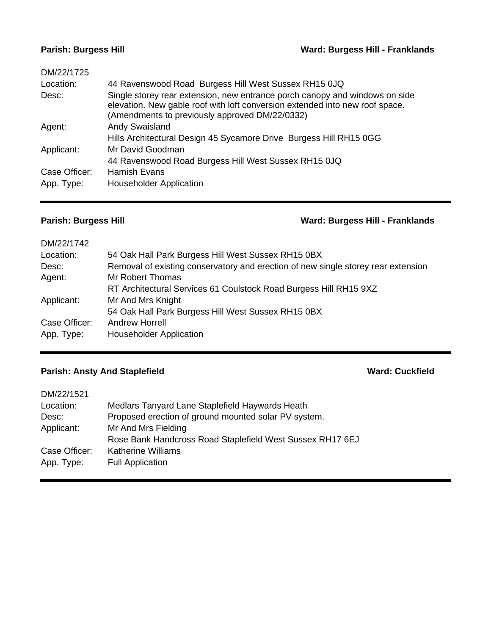### **Parish: Burgess Hill Ward: Burgess Hill - Franklands**

| DM/22/1725    |                                                                                                                                                                                                               |
|---------------|---------------------------------------------------------------------------------------------------------------------------------------------------------------------------------------------------------------|
| Location:     | 44 Ravenswood Road Burgess Hill West Sussex RH15 0JQ                                                                                                                                                          |
| Desc:         | Single storey rear extension, new entrance porch canopy and windows on side<br>elevation. New gable roof with loft conversion extended into new roof space.<br>(Amendments to previously approved DM/22/0332) |
| Agent:        | <b>Andy Swaisland</b>                                                                                                                                                                                         |
|               | Hills Architectural Design 45 Sycamore Drive Burgess Hill RH15 0GG                                                                                                                                            |
| Applicant:    | Mr David Goodman                                                                                                                                                                                              |
|               | 44 Ravenswood Road Burgess Hill West Sussex RH15 0JQ                                                                                                                                                          |
| Case Officer: | <b>Hamish Evans</b>                                                                                                                                                                                           |
| App. Type:    | <b>Householder Application</b>                                                                                                                                                                                |
|               |                                                                                                                                                                                                               |

### **Parish: Burgess Hill Ward: Burgess Hill - Franklands**

| DM/22/1742    |                                                                                   |
|---------------|-----------------------------------------------------------------------------------|
| Location:     | 54 Oak Hall Park Burgess Hill West Sussex RH15 0BX                                |
| Desc:         | Removal of existing conservatory and erection of new single storey rear extension |
| Agent:        | Mr Robert Thomas                                                                  |
|               | RT Architectural Services 61 Coulstock Road Burgess Hill RH15 9XZ                 |
| Applicant:    | Mr And Mrs Knight                                                                 |
|               | 54 Oak Hall Park Burgess Hill West Sussex RH15 0BX                                |
| Case Officer: | Andrew Horrell                                                                    |
| App. Type:    | <b>Householder Application</b>                                                    |

# **Parish: Ansty And Staplefield <b>Ward: Cuckfield Ward: Cuckfield**

| DM/22/1521    |                                                           |
|---------------|-----------------------------------------------------------|
| Location:     | Medlars Tanyard Lane Staplefield Haywards Heath           |
| Desc:         | Proposed erection of ground mounted solar PV system.      |
| Applicant:    | Mr And Mrs Fielding                                       |
|               | Rose Bank Handcross Road Staplefield West Sussex RH17 6EJ |
| Case Officer: | <b>Katherine Williams</b>                                 |
| App. Type:    | <b>Full Application</b>                                   |
|               |                                                           |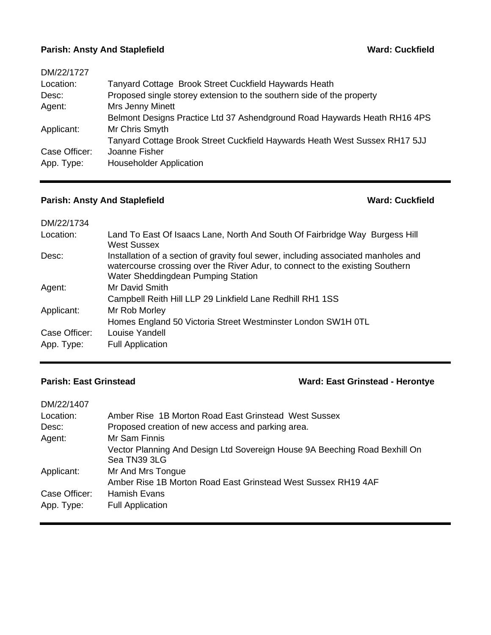### **Parish: Ansty And Staplefield <b>Ward: Cuckfield Ward: Cuckfield**

| DM/22/1727    |                                                                            |
|---------------|----------------------------------------------------------------------------|
| Location:     | Tanyard Cottage Brook Street Cuckfield Haywards Heath                      |
| Desc:         | Proposed single storey extension to the southern side of the property      |
| Agent:        | Mrs Jenny Minett                                                           |
|               | Belmont Designs Practice Ltd 37 Ashendground Road Haywards Heath RH16 4PS  |
| Applicant:    | Mr Chris Smyth                                                             |
|               | Tanyard Cottage Brook Street Cuckfield Haywards Heath West Sussex RH17 5JJ |
| Case Officer: | Joanne Fisher                                                              |
| App. Type:    | <b>Householder Application</b>                                             |
|               |                                                                            |

## **Parish: Ansty And Staplefield Ward: Cuckfield Ward: Cuckfield**

| Land To East Of Isaacs Lane, North And South Of Fairbridge Way Burgess Hill                                                                                         |
|---------------------------------------------------------------------------------------------------------------------------------------------------------------------|
| Installation of a section of gravity foul sewer, including associated manholes and<br>watercourse crossing over the River Adur, to connect to the existing Southern |
|                                                                                                                                                                     |
|                                                                                                                                                                     |
|                                                                                                                                                                     |
|                                                                                                                                                                     |
|                                                                                                                                                                     |
|                                                                                                                                                                     |
|                                                                                                                                                                     |

# **Parish: East Grinstead Ward: East Grinstead - Herontye**

| DM/22/1407    |                                                                                            |
|---------------|--------------------------------------------------------------------------------------------|
| Location:     | Amber Rise 1B Morton Road East Grinstead West Sussex                                       |
| Desc:         | Proposed creation of new access and parking area.                                          |
| Agent:        | Mr Sam Finnis                                                                              |
|               | Vector Planning And Design Ltd Sovereign House 9A Beeching Road Bexhill On<br>Sea TN39 3LG |
| Applicant:    | Mr And Mrs Tongue                                                                          |
|               | Amber Rise 1B Morton Road East Grinstead West Sussex RH19 4AF                              |
| Case Officer: | Hamish Evans                                                                               |
| App. Type:    | <b>Full Application</b>                                                                    |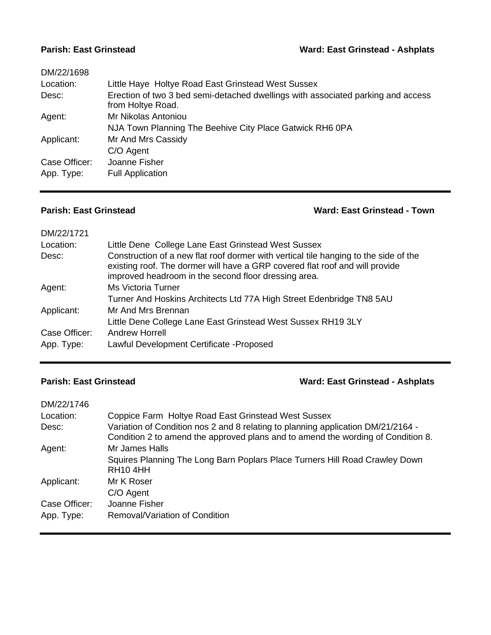### **Parish: East Grinstead Ward: East Grinstead - Ashplats**

| DM/22/1698    |                                                                                                       |
|---------------|-------------------------------------------------------------------------------------------------------|
| Location:     | Little Haye Holtye Road East Grinstead West Sussex                                                    |
| Desc:         | Erection of two 3 bed semi-detached dwellings with associated parking and access<br>from Holtye Road. |
| Agent:        | Mr Nikolas Antoniou                                                                                   |
|               | NJA Town Planning The Beehive City Place Gatwick RH6 0PA                                              |
| Applicant:    | Mr And Mrs Cassidy                                                                                    |
|               | C/O Agent                                                                                             |
| Case Officer: | Joanne Fisher                                                                                         |
| App. Type:    | <b>Full Application</b>                                                                               |
|               |                                                                                                       |

## **Parish: East Grinstead Ward: East Grinstead - Town**

| DM/22/1721    |                                                                                                                                                                                                                              |
|---------------|------------------------------------------------------------------------------------------------------------------------------------------------------------------------------------------------------------------------------|
| Location:     | Little Dene College Lane East Grinstead West Sussex                                                                                                                                                                          |
| Desc:         | Construction of a new flat roof dormer with vertical tile hanging to the side of the<br>existing roof. The dormer will have a GRP covered flat roof and will provide<br>improved headroom in the second floor dressing area. |
| Agent:        | <b>Ms Victoria Turner</b>                                                                                                                                                                                                    |
|               | Turner And Hoskins Architects Ltd 77A High Street Edenbridge TN8 5AU                                                                                                                                                         |
| Applicant:    | Mr And Mrs Brennan                                                                                                                                                                                                           |
|               | Little Dene College Lane East Grinstead West Sussex RH19 3LY                                                                                                                                                                 |
| Case Officer: | Andrew Horrell                                                                                                                                                                                                               |
| App. Type:    | Lawful Development Certificate - Proposed                                                                                                                                                                                    |

# **Parish: East Grinstead Ward: East Grinstead - Ashplats**

| DM/22/1746    |                                                                                                                                                                      |
|---------------|----------------------------------------------------------------------------------------------------------------------------------------------------------------------|
| Location:     | Coppice Farm Holtye Road East Grinstead West Sussex                                                                                                                  |
| Desc:         | Variation of Condition nos 2 and 8 relating to planning application DM/21/2164 -<br>Condition 2 to amend the approved plans and to amend the wording of Condition 8. |
| Agent:        | Mr James Halls                                                                                                                                                       |
|               | Squires Planning The Long Barn Poplars Place Turners Hill Road Crawley Down<br><b>RH10 4HH</b>                                                                       |
| Applicant:    | Mr K Roser                                                                                                                                                           |
|               | C/O Agent                                                                                                                                                            |
| Case Officer: | Joanne Fisher                                                                                                                                                        |
| App. Type:    | Removal/Variation of Condition                                                                                                                                       |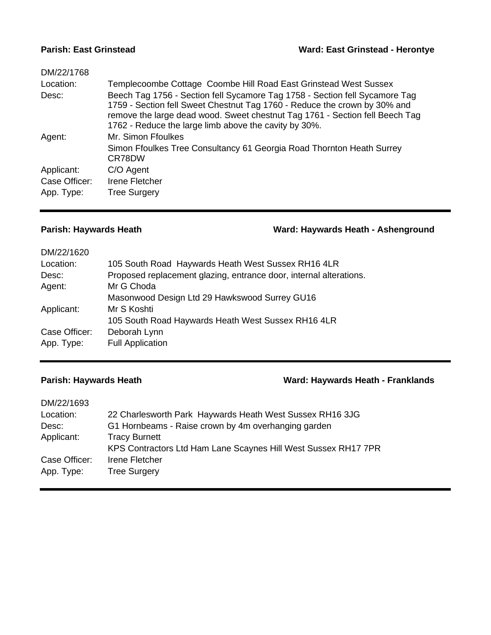### **Parish: East Grinstead Ward: East Grinstead - Herontye**

| DM/22/1768    |                                                                                                                                                                                                                                                                                                   |
|---------------|---------------------------------------------------------------------------------------------------------------------------------------------------------------------------------------------------------------------------------------------------------------------------------------------------|
| Location:     | Templecoombe Cottage Coombe Hill Road East Grinstead West Sussex                                                                                                                                                                                                                                  |
| Desc:         | Beech Tag 1756 - Section fell Sycamore Tag 1758 - Section fell Sycamore Tag<br>1759 - Section fell Sweet Chestnut Tag 1760 - Reduce the crown by 30% and<br>remove the large dead wood. Sweet chestnut Tag 1761 - Section fell Beech Tag<br>1762 - Reduce the large limb above the cavity by 30%. |
| Agent:        | Mr. Simon Ffoulkes                                                                                                                                                                                                                                                                                |
|               | Simon Ffoulkes Tree Consultancy 61 Georgia Road Thornton Heath Surrey<br>CR78DW                                                                                                                                                                                                                   |
| Applicant:    | C/O Agent                                                                                                                                                                                                                                                                                         |
| Case Officer: | Irene Fletcher                                                                                                                                                                                                                                                                                    |
| App. Type:    | <b>Tree Surgery</b>                                                                                                                                                                                                                                                                               |
|               |                                                                                                                                                                                                                                                                                                   |

**Parish: Haywards Heath Ward: Haywards Heath - Ashenground**

| DM/22/1620    |                                                                    |
|---------------|--------------------------------------------------------------------|
| Location:     | 105 South Road Haywards Heath West Sussex RH16 4LR                 |
| Desc:         | Proposed replacement glazing, entrance door, internal alterations. |
| Agent:        | Mr G Choda                                                         |
|               | Masonwood Design Ltd 29 Hawkswood Surrey GU16                      |
| Applicant:    | Mr S Koshti                                                        |
|               | 105 South Road Haywards Heath West Sussex RH16 4LR                 |
| Case Officer: | Deborah Lynn                                                       |
| App. Type:    | <b>Full Application</b>                                            |
|               |                                                                    |

### **Parish: Haywards Heath Ward: Haywards Heath - Franklands**

| 22 Charlesworth Park Haywards Heath West Sussex RH16 3JG       |
|----------------------------------------------------------------|
| G1 Hornbeams - Raise crown by 4m overhanging garden            |
| <b>Tracy Burnett</b>                                           |
| KPS Contractors Ltd Ham Lane Scaynes Hill West Sussex RH17 7PR |
| Irene Fletcher                                                 |
| <b>Tree Surgery</b>                                            |
|                                                                |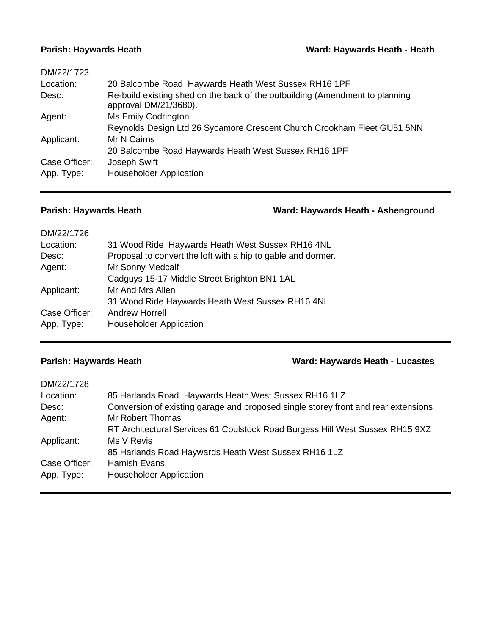| DM/22/1723    |                                                                                                       |
|---------------|-------------------------------------------------------------------------------------------------------|
| Location:     | 20 Balcombe Road Haywards Heath West Sussex RH16 1PF                                                  |
| Desc:         | Re-build existing shed on the back of the outbuilding (Amendment to planning<br>approval DM/21/3680). |
| Agent:        | Ms Emily Codrington                                                                                   |
|               | Reynolds Design Ltd 26 Sycamore Crescent Church Crookham Fleet GU51 5NN                               |
| Applicant:    | Mr N Cairns                                                                                           |
|               | 20 Balcombe Road Haywards Heath West Sussex RH16 1PF                                                  |
| Case Officer: | Joseph Swift                                                                                          |
| App. Type:    | <b>Householder Application</b>                                                                        |
|               |                                                                                                       |

## **Parish: Haywards Heath Ward: Haywards Heath - Ashenground**

| DM/22/1726    |                                                              |
|---------------|--------------------------------------------------------------|
| Location:     | 31 Wood Ride Haywards Heath West Sussex RH16 4NL             |
| Desc:         | Proposal to convert the loft with a hip to gable and dormer. |
| Agent:        | Mr Sonny Medcalf                                             |
|               | Cadguys 15-17 Middle Street Brighton BN1 1AL                 |
| Applicant:    | Mr And Mrs Allen                                             |
|               | 31 Wood Ride Haywards Heath West Sussex RH16 4NL             |
| Case Officer: | <b>Andrew Horrell</b>                                        |
| App. Type:    | <b>Householder Application</b>                               |
|               |                                                              |

## **Parish: Haywards Heath Ward: Haywards Heath - Lucastes**

| DM/22/1728    |                                                                                    |
|---------------|------------------------------------------------------------------------------------|
| Location:     | 85 Harlands Road Haywards Heath West Sussex RH16 1LZ                               |
| Desc:         | Conversion of existing garage and proposed single storey front and rear extensions |
| Agent:        | Mr Robert Thomas                                                                   |
|               | RT Architectural Services 61 Coulstock Road Burgess Hill West Sussex RH15 9XZ      |
| Applicant:    | Ms V Revis                                                                         |
|               | 85 Harlands Road Haywards Heath West Sussex RH16 1LZ                               |
| Case Officer: | <b>Hamish Evans</b>                                                                |
| App. Type:    | <b>Householder Application</b>                                                     |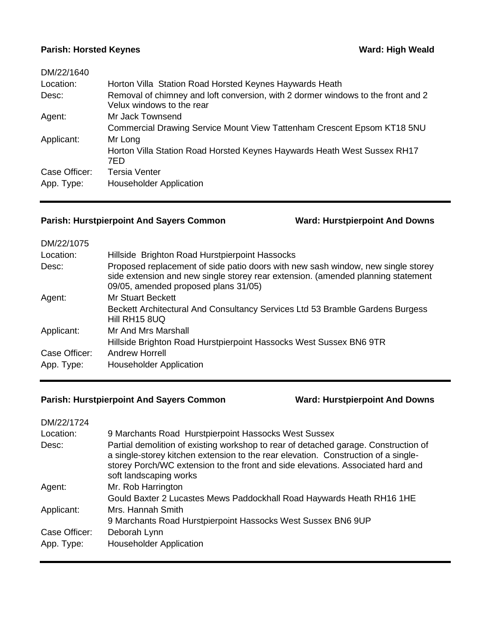### **Parish: Horsted Keynes Ward: High Weald**

| DM/22/1640    |                                                                                                               |
|---------------|---------------------------------------------------------------------------------------------------------------|
| Location:     | Horton Villa Station Road Horsted Keynes Haywards Heath                                                       |
| Desc:         | Removal of chimney and loft conversion, with 2 dormer windows to the front and 2<br>Velux windows to the rear |
| Agent:        | Mr Jack Townsend                                                                                              |
|               | Commercial Drawing Service Mount View Tattenham Crescent Epsom KT18 5NU                                       |
| Applicant:    | Mr Long                                                                                                       |
|               | Horton Villa Station Road Horsted Keynes Haywards Heath West Sussex RH17<br>7ED                               |
| Case Officer: | <b>Tersia Venter</b>                                                                                          |
| App. Type:    | <b>Householder Application</b>                                                                                |

## **Parish: Hurstpierpoint And Sayers Common Ward: Hurstpierpoint And Downs**

| DM/22/1075    |                                                                                                                                                                                                              |
|---------------|--------------------------------------------------------------------------------------------------------------------------------------------------------------------------------------------------------------|
| Location:     | Hillside Brighton Road Hurstpierpoint Hassocks                                                                                                                                                               |
| Desc:         | Proposed replacement of side patio doors with new sash window, new single storey<br>side extension and new single storey rear extension. (amended planning statement<br>09/05, amended proposed plans 31/05) |
| Agent:        | <b>Mr Stuart Beckett</b>                                                                                                                                                                                     |
|               | Beckett Architectural And Consultancy Services Ltd 53 Bramble Gardens Burgess<br>Hill RH15 8UQ                                                                                                               |
| Applicant:    | Mr And Mrs Marshall                                                                                                                                                                                          |
|               | Hillside Brighton Road Hurstpierpoint Hassocks West Sussex BN6 9TR                                                                                                                                           |
| Case Officer: | Andrew Horrell                                                                                                                                                                                               |
| App. Type:    | <b>Householder Application</b>                                                                                                                                                                               |
|               |                                                                                                                                                                                                              |

# **Parish: Hurstpierpoint And Sayers Common Ward: Hurstpierpoint And Downs**

| DM/22/1724    |                                                                                                                                                                                                                                                                                        |
|---------------|----------------------------------------------------------------------------------------------------------------------------------------------------------------------------------------------------------------------------------------------------------------------------------------|
| Location:     | 9 Marchants Road Hurstpierpoint Hassocks West Sussex                                                                                                                                                                                                                                   |
| Desc:         | Partial demolition of existing workshop to rear of detached garage. Construction of<br>a single-storey kitchen extension to the rear elevation. Construction of a single-<br>storey Porch/WC extension to the front and side elevations. Associated hard and<br>soft landscaping works |
| Agent:        | Mr. Rob Harrington                                                                                                                                                                                                                                                                     |
|               | Gould Baxter 2 Lucastes Mews Paddockhall Road Haywards Heath RH16 1HE                                                                                                                                                                                                                  |
| Applicant:    | Mrs. Hannah Smith                                                                                                                                                                                                                                                                      |
|               | 9 Marchants Road Hurstpierpoint Hassocks West Sussex BN6 9UP                                                                                                                                                                                                                           |
| Case Officer: | Deborah Lynn                                                                                                                                                                                                                                                                           |
| App. Type:    | <b>Householder Application</b>                                                                                                                                                                                                                                                         |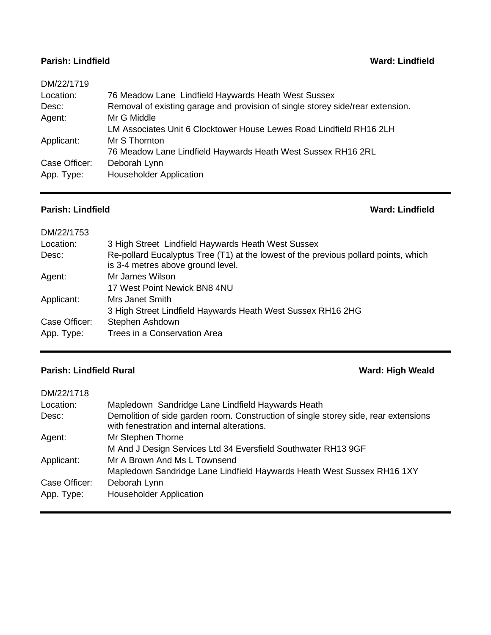### **Parish: Lindfield Ward: Lindfield**

| DM/22/1719    |                                                                                |
|---------------|--------------------------------------------------------------------------------|
| Location:     | 76 Meadow Lane Lindfield Haywards Heath West Sussex                            |
| Desc:         | Removal of existing garage and provision of single storey side/rear extension. |
| Agent:        | Mr G Middle                                                                    |
|               | LM Associates Unit 6 Clocktower House Lewes Road Lindfield RH16 2LH            |
| Applicant:    | Mr S Thornton                                                                  |
|               | 76 Meadow Lane Lindfield Haywards Heath West Sussex RH16 2RL                   |
| Case Officer: | Deborah Lynn                                                                   |
| App. Type:    | <b>Householder Application</b>                                                 |
|               |                                                                                |

## **Parish: Lindfield Ward: Lindfield**

| DM/22/1753    |                                                                                                                          |
|---------------|--------------------------------------------------------------------------------------------------------------------------|
| Location:     | 3 High Street Lindfield Haywards Heath West Sussex                                                                       |
| Desc:         | Re-pollard Eucalyptus Tree (T1) at the lowest of the previous pollard points, which<br>is 3-4 metres above ground level. |
| Agent:        | Mr James Wilson                                                                                                          |
|               | 17 West Point Newick BN8 4NU                                                                                             |
| Applicant:    | Mrs Janet Smith                                                                                                          |
|               | 3 High Street Lindfield Haywards Heath West Sussex RH16 2HG                                                              |
| Case Officer: | Stephen Ashdown                                                                                                          |
| App. Type:    | Trees in a Conservation Area                                                                                             |
|               |                                                                                                                          |

## **Parish: Lindfield Rural Ward: High Weald**

| DM/22/1718    |                                                                                                                                    |
|---------------|------------------------------------------------------------------------------------------------------------------------------------|
| Location:     | Mapledown Sandridge Lane Lindfield Haywards Heath                                                                                  |
| Desc:         | Demolition of side garden room. Construction of single storey side, rear extensions<br>with fenestration and internal alterations. |
| Agent:        | Mr Stephen Thorne                                                                                                                  |
|               | M And J Design Services Ltd 34 Eversfield Southwater RH13 9GF                                                                      |
| Applicant:    | Mr A Brown And Ms L Townsend                                                                                                       |
|               | Mapledown Sandridge Lane Lindfield Haywards Heath West Sussex RH16 1XY                                                             |
| Case Officer: | Deborah Lynn                                                                                                                       |
| App. Type:    | <b>Householder Application</b>                                                                                                     |
|               |                                                                                                                                    |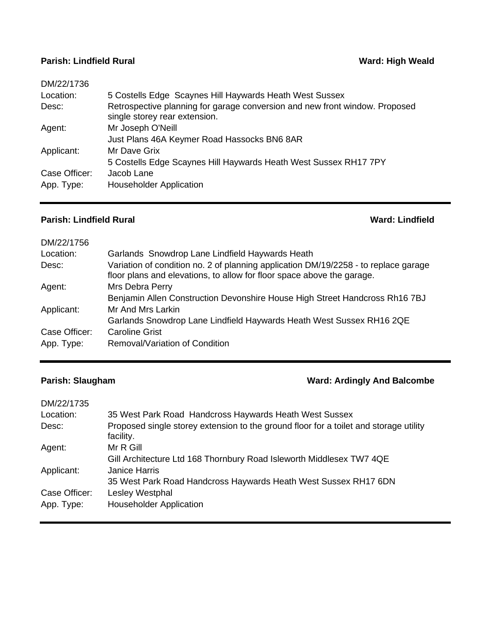## **Parish: Lindfield Rural Ward: High Weald Ward: High Weald**

| DM/22/1736    |                                                                                                              |
|---------------|--------------------------------------------------------------------------------------------------------------|
| Location:     | 5 Costells Edge Scaynes Hill Haywards Heath West Sussex                                                      |
| Desc:         | Retrospective planning for garage conversion and new front window. Proposed<br>single storey rear extension. |
| Agent:        | Mr Joseph O'Neill                                                                                            |
|               | Just Plans 46A Keymer Road Hassocks BN6 8AR                                                                  |
| Applicant:    | Mr Dave Grix                                                                                                 |
|               | 5 Costells Edge Scaynes Hill Haywards Heath West Sussex RH17 7PY                                             |
| Case Officer: | Jacob Lane                                                                                                   |
| App. Type:    | <b>Householder Application</b>                                                                               |

### **Parish: Lindfield Rural Ward: Lindfield**

| DM/22/1756    |                                                                                                                                                               |
|---------------|---------------------------------------------------------------------------------------------------------------------------------------------------------------|
| Location:     | Garlands Snowdrop Lane Lindfield Haywards Heath                                                                                                               |
| Desc:         | Variation of condition no. 2 of planning application DM/19/2258 - to replace garage<br>floor plans and elevations, to allow for floor space above the garage. |
| Agent:        | Mrs Debra Perry                                                                                                                                               |
|               | Benjamin Allen Construction Devonshire House High Street Handcross Rh16 7BJ                                                                                   |
| Applicant:    | Mr And Mrs Larkin                                                                                                                                             |
|               | Garlands Snowdrop Lane Lindfield Haywards Heath West Sussex RH16 2QE                                                                                          |
| Case Officer: | <b>Caroline Grist</b>                                                                                                                                         |
| App. Type:    | Removal/Variation of Condition                                                                                                                                |

## **Parish: Slaugham Parish: Slaugham Ward: Ardingly And Balcombe**

| 35 West Park Road Handcross Haywards Heath West Sussex                                             |
|----------------------------------------------------------------------------------------------------|
| Proposed single storey extension to the ground floor for a toilet and storage utility<br>facility. |
| Mr R Gill                                                                                          |
| Gill Architecture Ltd 168 Thornbury Road Isleworth Middlesex TW7 4QE                               |
| <b>Janice Harris</b>                                                                               |
| 35 West Park Road Handcross Haywards Heath West Sussex RH17 6DN                                    |
| Lesley Westphal                                                                                    |
| <b>Householder Application</b>                                                                     |
|                                                                                                    |